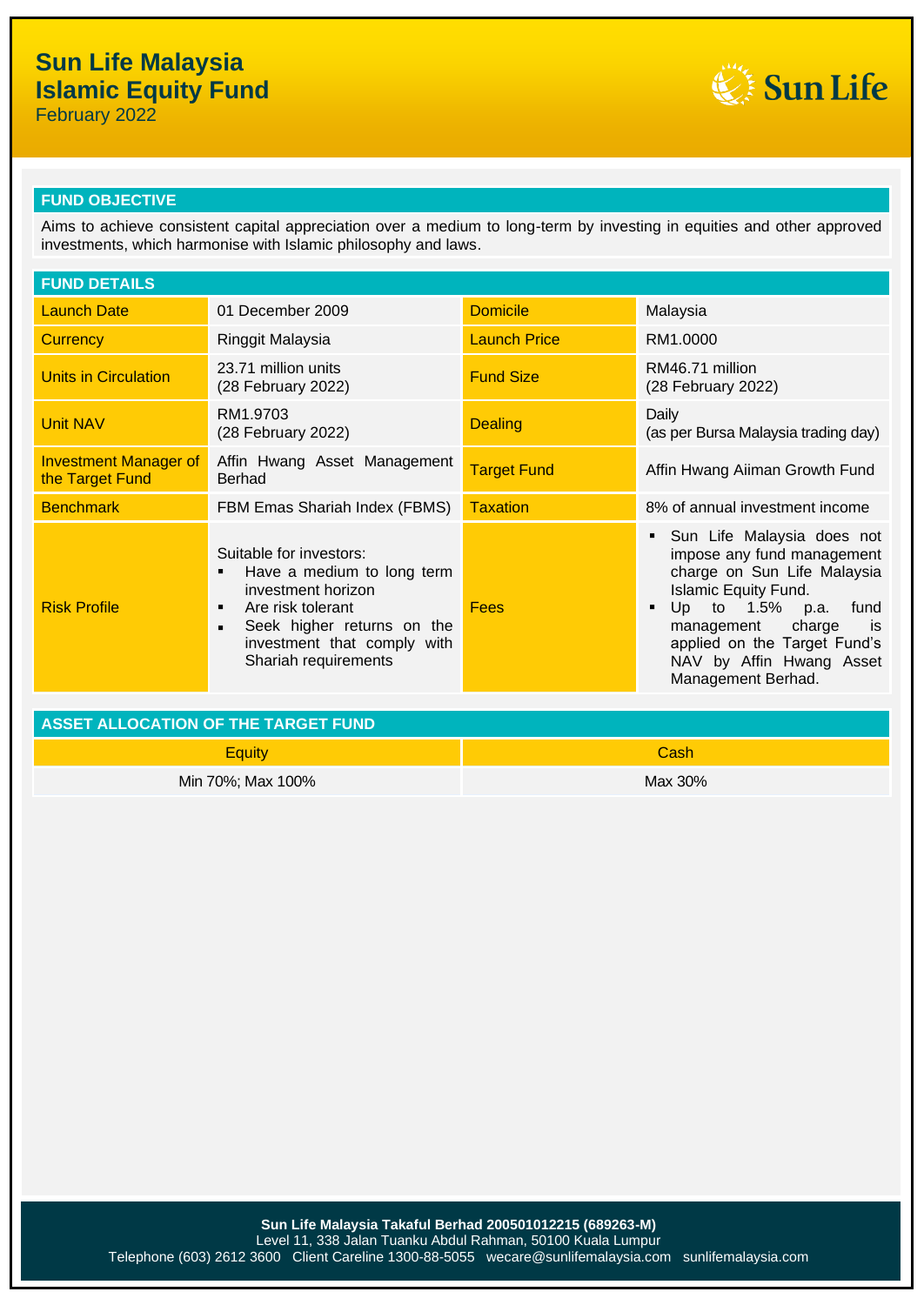# **Sun Life Malaysia Islamic Equity Fund**

February 2022



## **FUND OBJECTIVE**

Aims to achieve consistent capital appreciation over a medium to long-term by investing in equities and other approved investments, which harmonise with Islamic philosophy and laws.

| <b>FUND DETAILS</b>                             |                                                                                                                                                                                                                   |                     |                                                                                                                                                                                                                                                                |  |
|-------------------------------------------------|-------------------------------------------------------------------------------------------------------------------------------------------------------------------------------------------------------------------|---------------------|----------------------------------------------------------------------------------------------------------------------------------------------------------------------------------------------------------------------------------------------------------------|--|
| <b>Launch Date</b>                              | 01 December 2009                                                                                                                                                                                                  | <b>Domicile</b>     | Malaysia                                                                                                                                                                                                                                                       |  |
| Currency                                        | Ringgit Malaysia                                                                                                                                                                                                  | <b>Launch Price</b> | RM1.0000                                                                                                                                                                                                                                                       |  |
| Units in Circulation                            | 23.71 million units<br>(28 February 2022)                                                                                                                                                                         | <b>Fund Size</b>    | RM46.71 million<br>(28 February 2022)                                                                                                                                                                                                                          |  |
| <b>Unit NAV</b>                                 | RM1.9703<br>(28 February 2022)                                                                                                                                                                                    | <b>Dealing</b>      | Daily<br>(as per Bursa Malaysia trading day)                                                                                                                                                                                                                   |  |
| <b>Investment Manager of</b><br>the Target Fund | Affin Hwang Asset Management<br><b>Berhad</b>                                                                                                                                                                     | <b>Target Fund</b>  | Affin Hwang Aiiman Growth Fund                                                                                                                                                                                                                                 |  |
| <b>Benchmark</b>                                | FBM Emas Shariah Index (FBMS)                                                                                                                                                                                     | <b>Taxation</b>     | 8% of annual investment income                                                                                                                                                                                                                                 |  |
| <b>Risk Profile</b>                             | Suitable for investors:<br>Have a medium to long term<br>٠<br>investment horizon<br>Are risk tolerant<br>٠<br>Seek higher returns on the<br>$\blacksquare$<br>investment that comply with<br>Shariah requirements | <b>Fees</b>         | Sun Life Malaysia does not<br>impose any fund management<br>charge on Sun Life Malaysia<br><b>Islamic Equity Fund.</b><br>Up to 1.5% p.a.<br>fund<br>management charge<br>is<br>applied on the Target Fund's<br>NAV by Affin Hwang Asset<br>Management Berhad. |  |

| ASSET ALLOCATION OF THE TARGET FUND |         |  |
|-------------------------------------|---------|--|
| <b>Equity</b>                       | Cash    |  |
| Min 70%; Max 100%                   | Max 30% |  |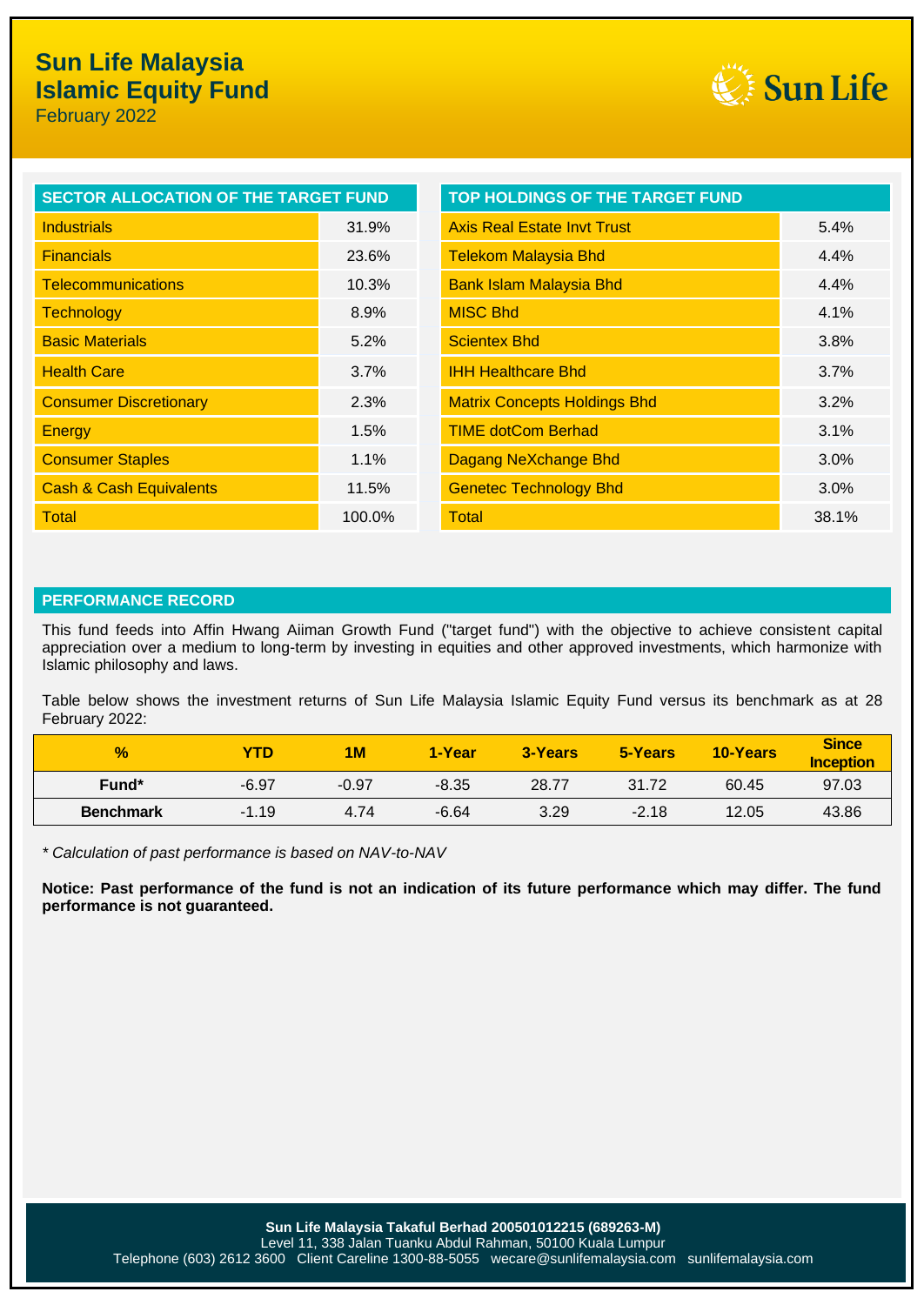

| <b>SECTOR ALLOCATION OF THE TARGET FUND</b> |        | TOP HOLDINGS OF THE TARGET FUND     |
|---------------------------------------------|--------|-------------------------------------|
| <b>Industrials</b>                          | 31.9%  | <b>Axis Real Estate Invt Trust</b>  |
| <b>Financials</b>                           | 23.6%  | <b>Telekom Malaysia Bhd</b>         |
| <b>Telecommunications</b>                   | 10.3%  | <b>Bank Islam Malaysia Bhd</b>      |
| <b>Technology</b>                           | 8.9%   | <b>MISC Bhd</b>                     |
| <b>Basic Materials</b>                      | 5.2%   | <b>Scientex Bhd</b>                 |
| <b>Health Care</b>                          | 3.7%   | <b>IHH Healthcare Bhd</b>           |
| <b>Consumer Discretionary</b>               | 2.3%   | <b>Matrix Concepts Holdings Bhd</b> |
| <b>Energy</b>                               | 1.5%   | <b>TIME dotCom Berhad</b>           |
| <b>Consumer Staples</b>                     | 1.1%   | Dagang NeXchange Bhd                |
| <b>Cash &amp; Cash Equivalents</b>          | 11.5%  | <b>Genetec Technology Bhd</b>       |
| <b>Total</b>                                | 100.0% | Total                               |

### **PERFORMANCE RECORD**

This fund feeds into Affin Hwang Aiiman Growth Fund ("target fund") with the objective to achieve consistent capital appreciation over a medium to long-term by investing in equities and other approved investments, which harmonize with Islamic philosophy and laws.

Table below shows the investment returns of Sun Life Malaysia Islamic Equity Fund versus its benchmark as at 28 February 2022:

| $\frac{9}{6}$     | YTD     | 1M      | 1-Year  | 3-Years | 5-Years | <b>10-Years</b> | <b>Since</b><br><b>Inception</b> |
|-------------------|---------|---------|---------|---------|---------|-----------------|----------------------------------|
| Fund <sup>*</sup> | $-6.97$ | $-0.97$ | $-8.35$ | 28.77   | 31.72   | 60.45           | 97.03                            |
| <b>Benchmark</b>  | $-1.19$ | 4.74    | $-6.64$ | 3.29    | $-2.18$ | 12.05           | 43.86                            |

*\* Calculation of past performance is based on NAV-to-NAV*

**Notice: Past performance of the fund is not an indication of its future performance which may differ. The fund performance is not guaranteed.**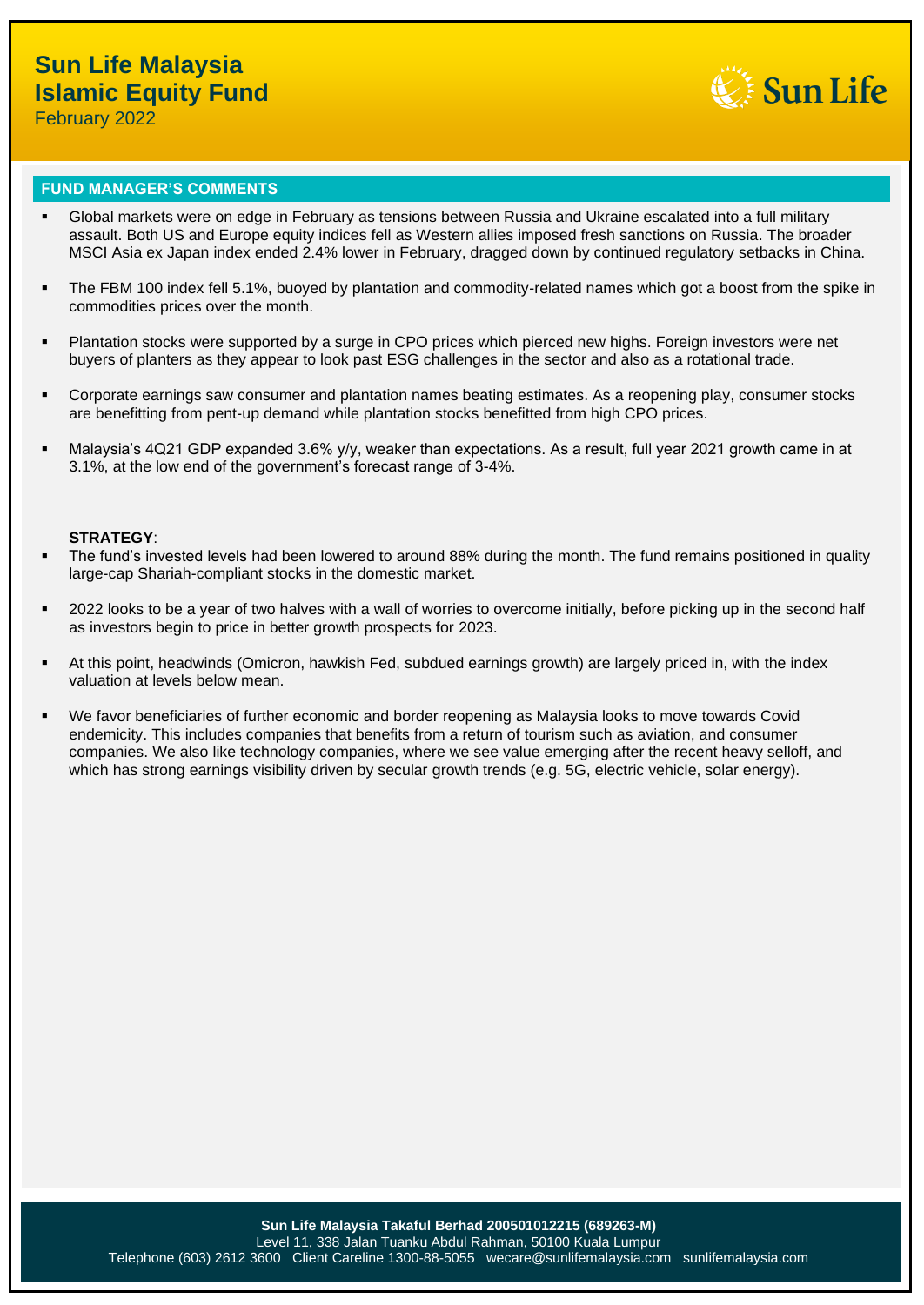

### **FUND MANAGER'S COMMENTS**

- Global markets were on edge in February as tensions between Russia and Ukraine escalated into a full military assault. Both US and Europe equity indices fell as Western allies imposed fresh sanctions on Russia. The broader MSCI Asia ex Japan index ended 2.4% lower in February, dragged down by continued regulatory setbacks in China.
- **•** The FBM 100 index fell 5.1%, buoyed by plantation and commodity-related names which got a boost from the spike in commodities prices over the month.
- Plantation stocks were supported by a surge in CPO prices which pierced new highs. Foreign investors were net buyers of planters as they appear to look past ESG challenges in the sector and also as a rotational trade.
- Corporate earnings saw consumer and plantation names beating estimates. As a reopening play, consumer stocks are benefitting from pent-up demand while plantation stocks benefitted from high CPO prices.
- Malaysia's 4Q21 GDP expanded 3.6% y/y, weaker than expectations. As a result, full year 2021 growth came in at 3.1%, at the low end of the government's forecast range of 3-4%.

### **STRATEGY**:

- The fund's invested levels had been lowered to around 88% during the month. The fund remains positioned in quality large-cap Shariah-compliant stocks in the domestic market.
- 2022 looks to be a year of two halves with a wall of worries to overcome initially, before picking up in the second half as investors begin to price in better growth prospects for 2023.
- At this point, headwinds (Omicron, hawkish Fed, subdued earnings growth) are largely priced in, with the index valuation at levels below mean.
- We favor beneficiaries of further economic and border reopening as Malaysia looks to move towards Covid endemicity. This includes companies that benefits from a return of tourism such as aviation, and consumer companies. We also like technology companies, where we see value emerging after the recent heavy selloff, and which has strong earnings visibility driven by secular growth trends (e.g. 5G, electric vehicle, solar energy).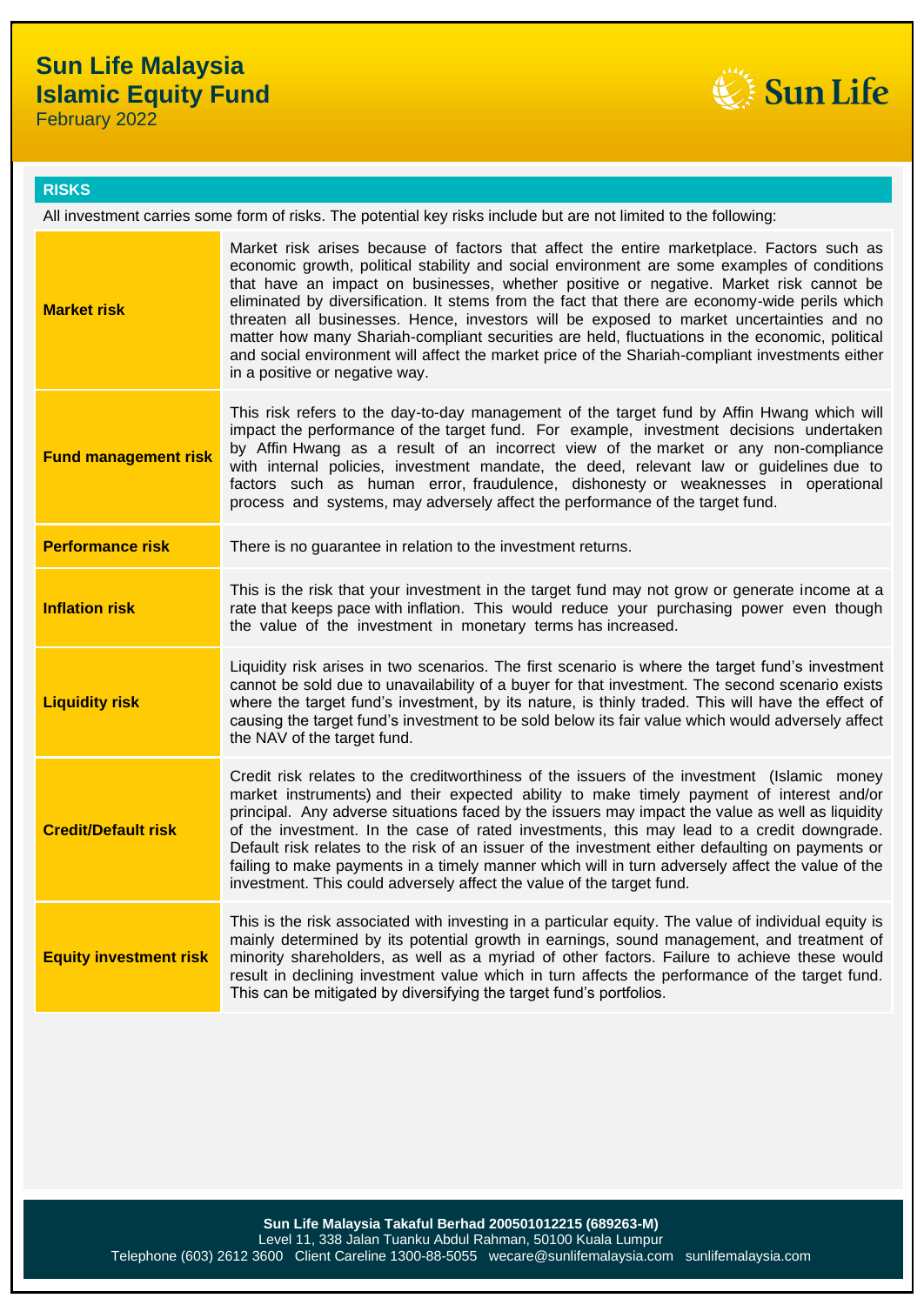# **Sun Life Malaysia Islamic Equity Fund**

February 2022



### **RISKS**

All investment carries some form of risks. The potential key risks include but are not limited to the following:

| <b>Market risk</b>            | Market risk arises because of factors that affect the entire marketplace. Factors such as<br>economic growth, political stability and social environment are some examples of conditions<br>that have an impact on businesses, whether positive or negative. Market risk cannot be<br>eliminated by diversification. It stems from the fact that there are economy-wide perils which<br>threaten all businesses. Hence, investors will be exposed to market uncertainties and no<br>matter how many Shariah-compliant securities are held, fluctuations in the economic, political<br>and social environment will affect the market price of the Shariah-compliant investments either<br>in a positive or negative way. |
|-------------------------------|-------------------------------------------------------------------------------------------------------------------------------------------------------------------------------------------------------------------------------------------------------------------------------------------------------------------------------------------------------------------------------------------------------------------------------------------------------------------------------------------------------------------------------------------------------------------------------------------------------------------------------------------------------------------------------------------------------------------------|
| <b>Fund management risk</b>   | This risk refers to the day-to-day management of the target fund by Affin Hwang which will<br>impact the performance of the target fund. For example, investment decisions undertaken<br>by Affin Hwang as a result of an incorrect view of the market or any non-compliance<br>with internal policies, investment mandate, the deed, relevant law or guidelines due to<br>factors such as human error, fraudulence, dishonesty or weaknesses in operational<br>process and systems, may adversely affect the performance of the target fund.                                                                                                                                                                           |
| <b>Performance risk</b>       | There is no guarantee in relation to the investment returns.                                                                                                                                                                                                                                                                                                                                                                                                                                                                                                                                                                                                                                                            |
| <b>Inflation risk</b>         | This is the risk that your investment in the target fund may not grow or generate income at a<br>rate that keeps pace with inflation. This would reduce your purchasing power even though<br>the value of the investment in monetary terms has increased.                                                                                                                                                                                                                                                                                                                                                                                                                                                               |
| <b>Liquidity risk</b>         | Liquidity risk arises in two scenarios. The first scenario is where the target fund's investment<br>cannot be sold due to unavailability of a buyer for that investment. The second scenario exists<br>where the target fund's investment, by its nature, is thinly traded. This will have the effect of<br>causing the target fund's investment to be sold below its fair value which would adversely affect<br>the NAV of the target fund.                                                                                                                                                                                                                                                                            |
| <b>Credit/Default risk</b>    | Credit risk relates to the creditworthiness of the issuers of the investment (Islamic money<br>market instruments) and their expected ability to make timely payment of interest and/or<br>principal. Any adverse situations faced by the issuers may impact the value as well as liquidity<br>of the investment. In the case of rated investments, this may lead to a credit downgrade.<br>Default risk relates to the risk of an issuer of the investment either defaulting on payments or<br>failing to make payments in a timely manner which will in turn adversely affect the value of the<br>investment. This could adversely affect the value of the target fund.                                               |
| <b>Equity investment risk</b> | This is the risk associated with investing in a particular equity. The value of individual equity is<br>mainly determined by its potential growth in earnings, sound management, and treatment of<br>minority shareholders, as well as a myriad of other factors. Failure to achieve these would<br>result in declining investment value which in turn affects the performance of the target fund.<br>This can be mitigated by diversifying the target fund's portfolios.                                                                                                                                                                                                                                               |